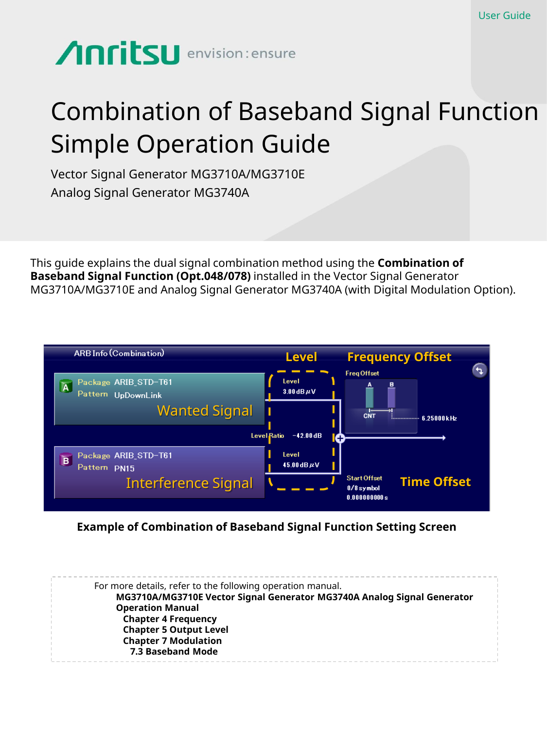# Combination of Baseband Signal Function Simple Operation Guide

Vector Signal Generator MG3710A/MG3710E Analog Signal Generator MG3740A

This guide explains the dual signal combination method using the **Combination of Baseband Signal Function (Opt.048/078)** installed in the Vector Signal Generator MG3710A/MG3710E and Analog Signal Generator MG3740A (with Digital Modulation Option).



#### **Example of Combination of Baseband Signal Function Setting Screen**

For more details, refer to the following operation manual. **MG3710A/MG3710E Vector Signal Generator MG3740A Analog Signal Generator Operation Manual Chapter 4 Frequency Chapter 5 Output Level Chapter 7 Modulation 7.3 Baseband Mode**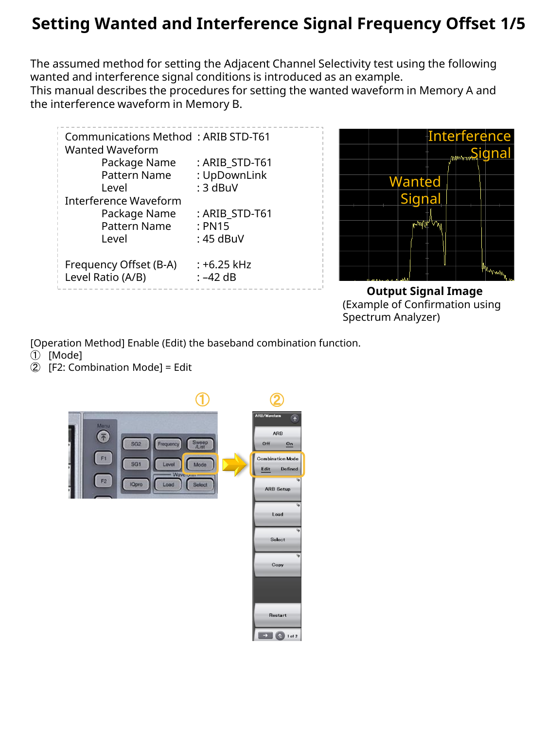### **Setting Wanted and Interference Signal Frequency Offset 1/5**

The assumed method for setting the Adjacent Channel Selectivity test using the following wanted and interference signal conditions is introduced as an example. This manual describes the procedures for setting the wanted waveform in Memory A and the interference waveform in Memory B.

| Communications Method: ARIB STD-T61<br>Wanted Waveform                       |                                       |
|------------------------------------------------------------------------------|---------------------------------------|
| Package Name                                                                 | : ARIB_STD-T61                        |
| Pattern Name                                                                 | : UpDownLink                          |
| Level                                                                        | : 3 dBuV                              |
| <b>Interference Waveform</b><br>Package Name<br><b>Pattern Name</b><br>Level | : ARIB STD-T61<br>: PN15<br>: 45 dBuV |
| Frequency Offset (B-A)                                                       | : +6.25 kHz                           |
| Level Ratio (A/B)                                                            | $: -42$ dB                            |



**Output Signal Image** (Example of Confirmation using Spectrum Analyzer)

[Operation Method] Enable (Edit) the baseband combination function.

- ① [Mode]
- ② [F2: Combination Mode] = Edit

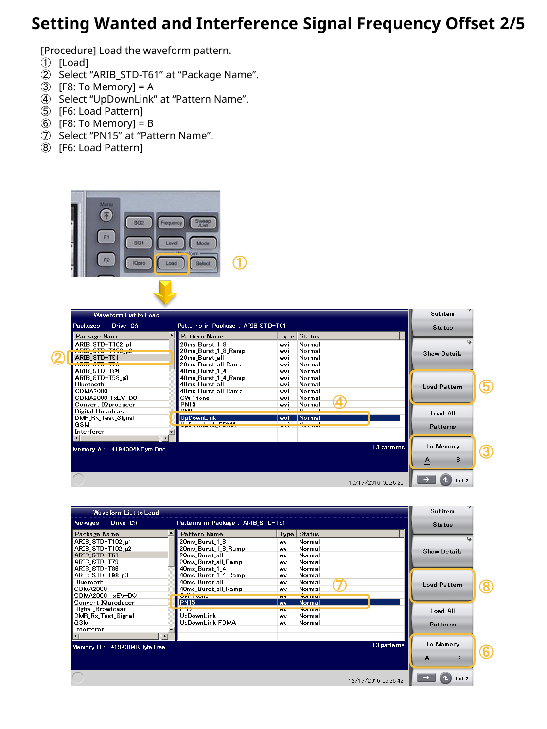### **Setting Wanted and Interference Signal Frequency Offset 2/5**

[Procedure] Load the waveform pattern.

- [Load]
- Select "ARIB\_STD-T61" at "Package Name".
- $\overline{3}$  [F8: To Memory] = A
- Select "UpDownLink" at "Pattern Name".
- [F6: Load Pattern]
- [F8: To Memory] = B
- Select "PN15" at "Pattern Name".
- [F6: Load Pattern]





| Waveform List to Load                                              |                     |             | Subitem             |                              |   |
|--------------------------------------------------------------------|---------------------|-------------|---------------------|------------------------------|---|
| Patterns in Package : ARIB_STD-T61<br><b>Packages</b><br>Drive C:\ |                     |             | <b>Status</b>       |                              |   |
| Package Name                                                       | Pattern Name        |             | Type Status         |                              |   |
| ARIB STD-T102 p1                                                   | 20ms Burst 1 8      | wvi         | Normal              |                              |   |
| ARIB STD-T102 p2                                                   | 20ms_Burst_1_8_Ramp | wvi         | Normal              | <b>Show Details</b>          |   |
| ARIB STD-T61                                                       | 20ms Burst all      | wvi         | Normal              |                              |   |
| ARIB STD-T79                                                       | 20ms Burst all Ramp | vvi         | Normal              |                              |   |
| ARIB STD-T86                                                       | 40ms Burst 1 4      | wvi         | Normal              |                              |   |
| ARIB STD-T98 p3                                                    | 40ms_Burst_1_4_Ramp | wvi         | Normal              |                              |   |
| Bluetooth                                                          | 40ms_Burst_all      | wvi         | Normal              | <b>Load Pattern</b>          |   |
| CDMA2000                                                           | 40ms Burst all Ramp | wvi         | Normal              |                              |   |
| CDMA2000_1xEV-DO                                                   | <b>VILLIUID</b>     | <b>TEMP</b> | <b>TWO THEFT</b>    |                              |   |
| Convert IQproducer                                                 | PN15                | wvi         | <b>Normal</b>       |                              |   |
| Digital Broadcast                                                  | <b>FINO</b>         | <b>WW1</b>  | <b>INVESTIGE</b>    | Load All                     |   |
| DMR Rx Test Signal                                                 | UpDownLink          | wvi         | Normal              |                              |   |
| GSM                                                                | UpDownLink_FDMA     | wvi         | Normal              | Patterns                     |   |
| Interferer                                                         |                     |             |                     |                              |   |
|                                                                    |                     |             |                     |                              |   |
| Memory B: 4194304KByte Free                                        |                     |             | 13 patterns         | To Memory                    |   |
|                                                                    |                     |             |                     | $\, {\bf B}$<br>$\mathbf{A}$ | 6 |
|                                                                    |                     |             | 12/15/2016 09:35:42 | $1$ of $2$                   |   |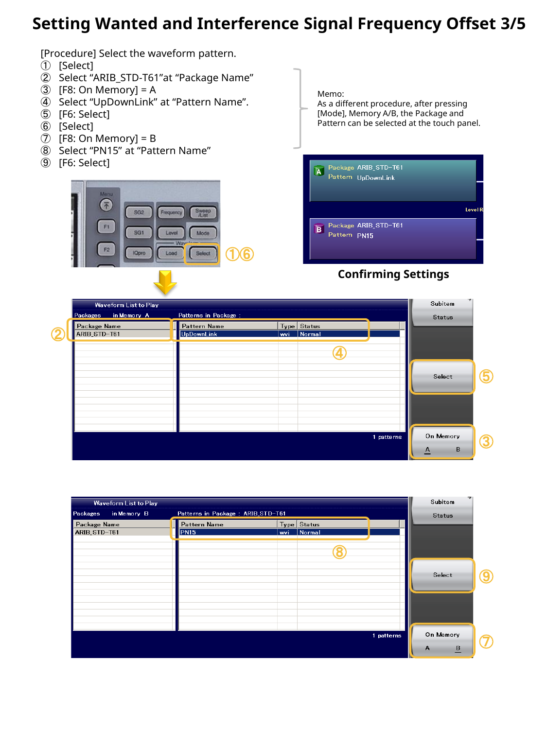### **Setting Wanted and Interference Signal Frequency Offset 3/5**

[Procedure] Select the waveform pattern.

- [Select]
- Select "ARIB\_STD-T61"at "Package Name"
- $\circled{3}$  [F8: On Memory] = A
- Select "UpDownLink" at "Pattern Name".
- [F6: Select]
- [Select]
- [F8: On Memory] = B
- Select "PN15" at "Pattern Name"
- [F6: Select]



Memo: As a different procedure, after pressing

[Mode], Memory A/B, the Package and Pattern can be selected at the touch panel.



#### **Confirming Settings**

|   | Waveform List to Play   |                       |     |             |            | Subitem       |   |
|---|-------------------------|-----------------------|-----|-------------|------------|---------------|---|
|   | in Memory A<br>Packages | Patterns in Package : |     |             |            | <b>Status</b> |   |
|   | Package Name            | Pattern Name          |     | Type Status |            |               |   |
| o | ARIB_STD-T61            | <b>UpDownLink</b>     | wvi | Normal      |            |               |   |
|   |                         |                       |     |             |            |               |   |
|   |                         |                       |     |             |            | Select        |   |
|   |                         |                       |     |             |            |               |   |
|   |                         |                       |     |             |            |               |   |
|   |                         |                       |     |             | 1 patterns | On Memory     | з |
|   |                         |                       |     |             |            | B<br>A        |   |

| Waveform List to Play        |                                   |                              | Subitem                                        |
|------------------------------|-----------------------------------|------------------------------|------------------------------------------------|
| in Memory B<br>Packages      | Patterns in Package: ARIB_STD-T61 |                              | Status                                         |
| Package Name<br>ARIB_STD-T61 | Pattern Name<br>PN15              | Type Status<br>Normal<br>wvi |                                                |
|                              |                                   |                              | Select                                         |
|                              |                                   |                              | On Memory<br>1 patterns<br>А<br>$\overline{B}$ |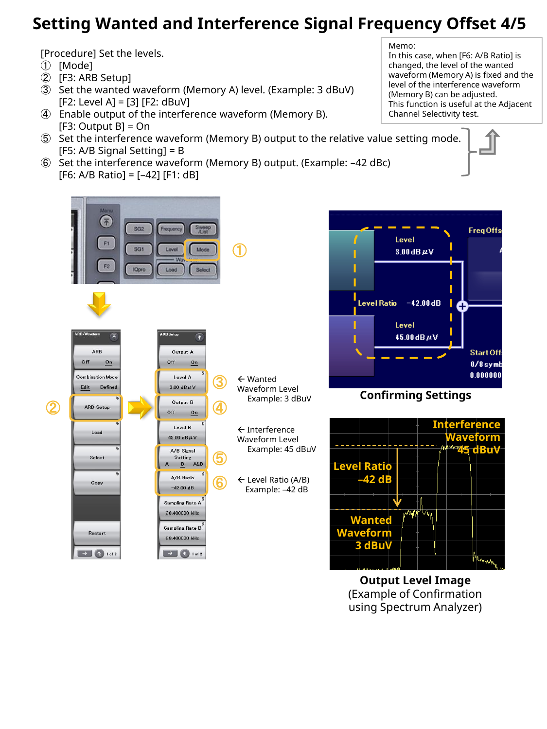### **Setting Wanted and Interference Signal Frequency Offset 4/5**

[Procedure] Set the levels.

- ① [Mode]
- ② [F3: ARB Setup]
- ③ Set the wanted waveform (Memory A) level. (Example: 3 dBuV) [F2: Level A] = [3] [F2: dBuV]
- ④ Enable output of the interference waveform (Memory B).  $[F3: Output B] = On$
- ⑤ Set the interference waveform (Memory B) output to the relative value setting mode. [F5: A/B Signal Setting] = B
- ⑥ Set the interference waveform (Memory B) output. (Example: –42 dBc)  $[FG: A/B Ratio] = [-42] [F1: dB]$

Memo: In this case, when [F6: A/B Ratio] is changed, the level of the wanted waveform (Memory A) is fixed and the level of the interference waveform (Memory B) can be adjusted. This function is useful at the Adjacent Channel Selectivity test.



**Output Level Image** (Example of Confirmation using Spectrum Analyzer)

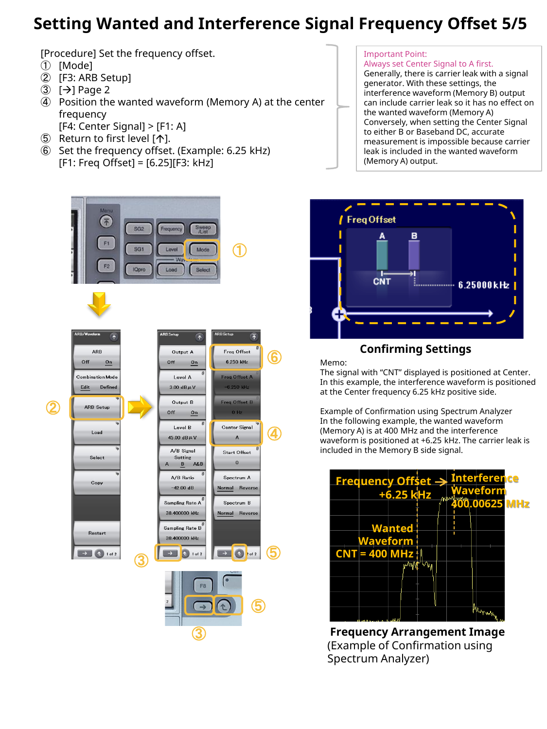### **Setting Wanted and Interference Signal Frequency Offset 5/5**

[Procedure] Set the frequency offset.

- ① [Mode]
- ② [F3: ARB Setup]
- $(3)$  [ $\rightarrow$ ] Page 2
- ④ Position the wanted waveform (Memory A) at the center frequency

[F4: Center Signal] > [F1: A]

- $(5)$  Return to first level  $[\n\bigwedge]$ .
- ⑥ Set the frequency offset. (Example: 6.25 kHz) [F1: Freq Offset] = [6.25][F3: kHz]

#### Important Point:

Always set Center Signal to A first.

Generally, there is carrier leak with a signal generator. With these settings, the interference waveform (Memory B) output can include carrier leak so it has no effect on the wanted waveform (Memory A) Conversely, when setting the Center Signal to either B or Baseband DC, accurate measurement is impossible because carrier leak is included in the wanted waveform (Memory A) output.



#### **Confirming Settings**

Memo:

The signal with "CNT" displayed is positioned at Center. In this example, the interference waveform is positioned at the Center frequency 6.25 kHz positive side.

Example of Confirmation using Spectrum Analyzer In the following example, the wanted waveform (Memory A) is at 400 MHz and the interference waveform is positioned at +6.25 kHz. The carrier leak is included in the Memory B side signal.



**Frequency Arrangement Image** (Example of Confirmation using Spectrum Analyzer)

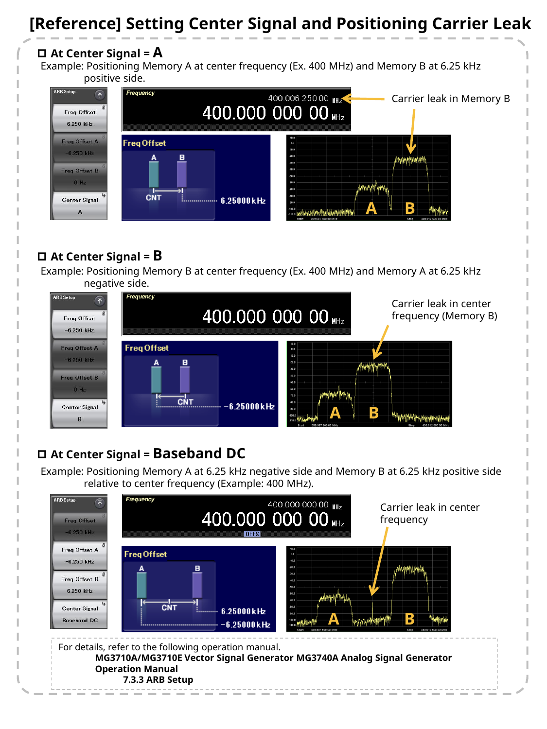### **[Reference] Setting Center Signal and Positioning Carrier Leak**

### **At Center Signal = A**

Example: Positioning Memory A at center frequency (Ex. 400 MHz) and Memory B at 6.25 kHz positive side.



#### **At Center Signal = B**

Example: Positioning Memory B at center frequency (Ex. 400 MHz) and Memory A at 6.25 kHz negative side.



### **At Center Signal = Baseband DC**

Example: Positioning Memory A at 6.25 kHz negative side and Memory B at 6.25 kHz positive side relative to center frequency (Example: 400 MHz).

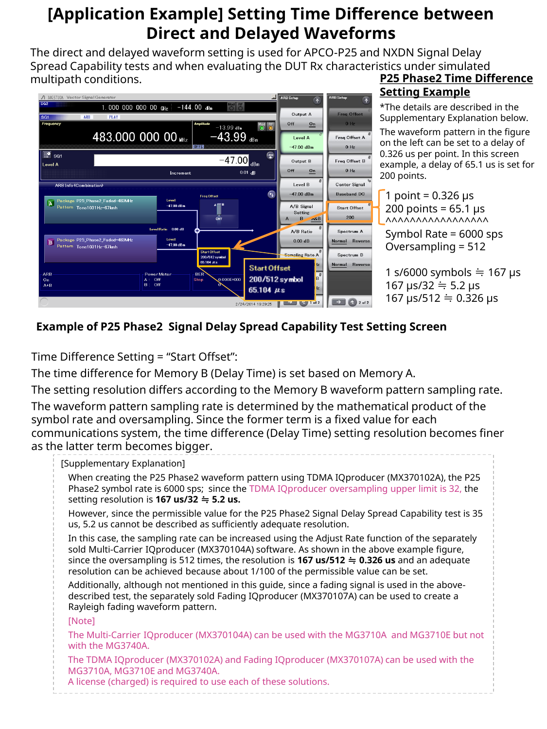### **[Application Example] Setting Time Difference between Direct and Delayed Waveforms**

The direct and delayed waveform setting is used for APCO-P25 and NXDN Signal Delay Spread Capability tests and when evaluating the DUT Rx characteristics under simulated multipath conditions.



#### **P25 Phase2 Time Difference Setting Example**

\*The details are described in the Supplementary Explanation below.

The waveform pattern in the figure on the left can be set to a delay of 0.326 us per point. In this screen example, a delay of 65.1 us is set for 200 points.

1 point =  $0.326$  µs  $200$  points = 65.1 us  $\Lambda$ 

Symbol Rate = 6000 sps Oversampling = 512

1 s/6000 symbols  $\div$  167 µs 167 µs/32  $\doteq$  5.2 µs 167 µs/512 ≒ 0.326 µs

### **Example of P25 Phase2 Signal Delay Spread Capability Test Setting Screen**

Time Difference Setting = "Start Offset":

The time difference for Memory B (Delay Time) is set based on Memory A.

The setting resolution differs according to the Memory B waveform pattern sampling rate. The waveform pattern sampling rate is determined by the mathematical product of the symbol rate and oversampling. Since the former term is a fixed value for each communications system, the time difference (Delay Time) setting resolution becomes finer as the latter term becomes bigger.

#### [Supplementary Explanation] When creating the P25 Phase2 waveform pattern using TDMA IQproducer (MX370102A), the P25 Phase2 symbol rate is 6000 sps; since the TDMA IQproducer oversampling upper limit is 32, the setting resolution is **167 us/32** ≒ **5.2 us.** However, since the permissible value for the P25 Phase2 Signal Delay Spread Capability test is 35 us, 5.2 us cannot be described as sufficiently adequate resolution. In this case, the sampling rate can be increased using the Adjust Rate function of the separately sold Multi-Carrier IQproducer (MX370104A) software. As shown in the above example figure, since the oversampling is 512 times, the resolution is **167 us/512** ≒ **0.326 us** and an adequate resolution can be achieved because about 1/100 of the permissible value can be set. Additionally, although not mentioned in this guide, since a fading signal is used in the abovedescribed test, the separately sold Fading IQproducer (MX370107A) can be used to create a Rayleigh fading waveform pattern. [Note] The Multi-Carrier IQproducer (MX370104A) can be used with the MG3710A and MG3710E but not with the MG3740A. The TDMA IQproducer (MX370102A) and Fading IQproducer (MX370107A) can be used with the MG3710A, MG3710E and MG3740A. A license (charged) is required to use each of these solutions.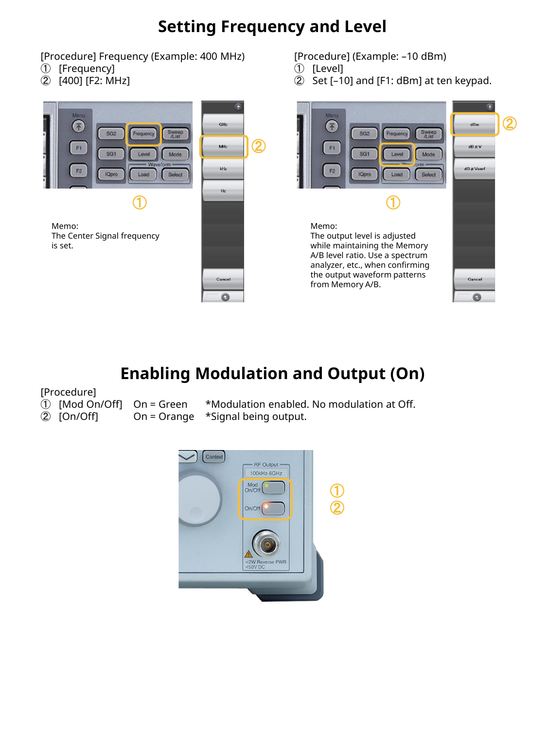# **Setting Frequency and Level**

[Procedure] Frequency (Example: 400 MHz)

- ① [Frequency]
- ② [400] [F2: MHz]





[Procedure] (Example: –10 dBm)

- ① [Level]
- ② Set [–10] and [F1: dBm] at ten keypad.



# **Enabling Modulation and Output (On)**

[Procedure]

- 
- 
- 

① [Mod On/Off] On = Green \*Modulation enabled. No modulation at Off. ② [On/Off] On = Orange \*Signal being output.